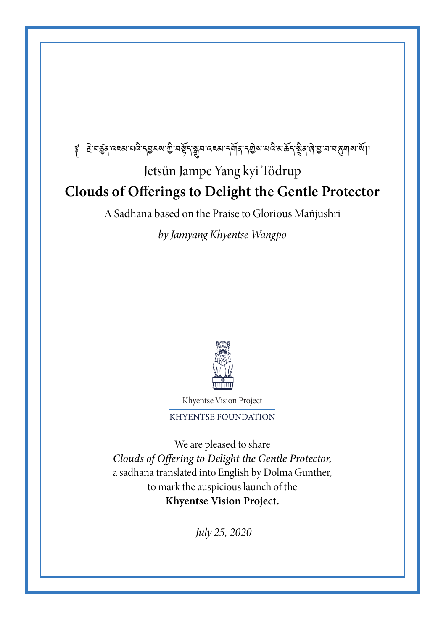# ৄ हेन्दुद्रव्ह्यायदेन्ड्रह्याभुमङ्गाञ्चार्याद्राज्यम् अपि स्थित्यास्थितविद्यायार्थियाश्री। Jetsün Jampe Yang kyi Tödrup **Clouds of Offerings to Delight the Gentle Protector**

A Sadhana based on the Praise to Glorious Mañjushri

*by Jamyang Khyentse Wangpo*



Khyentse Vision Project

**KHYENTSE FOUNDATION** 

We are pleased to share Clouds of Offering to Delight the Gentle Protector, a sadhana translated into English by Dolma Gunther, to mark the auspicious launch of the **Khyentse Vision Project.**

 *July 25, 2020*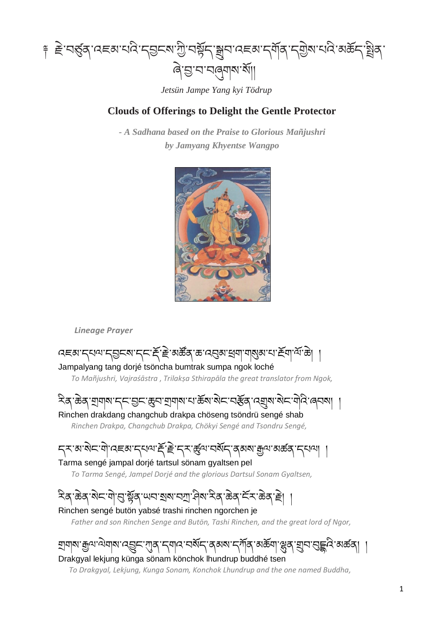

*Jetsün Jampe Yang kyi Tödrup*

### **Clouds of Offerings to Delight the Gentle Protector**

*- A Sadhana based on the Praise to Glorious Mañjushri by Jamyang Khyentse Wangpo*



*Lineage Prayer*

ব্েষা দ্যম্ম দ্রুদম দ্দ'ই'ৰ্স্ক্রঁজ্' ক্র'ব্র্মুঝ'ধ্রা'মা্ম্ঝুঝ'থ'ইমা'ঝাঁ'ক্র Jampalyang tang dorjé tsöncha bumtrak sumpa ngok loché  *To Mañjushri, Vajraśāstra* , *Trilakṣa Sthirapāla the great translator from Ngok,* ২িঝ্'ক্টৰ্স্'শ্ৰামা'ন্ন্'মুহ্'ক্ৰুন'শ্ৰামা'ন'ৰ্ক্স'মীন'নইৰ্''ন্মুম'মীন'নীন'ন্নেমা Rinchen drakdang changchub drakpa chöseng tsöndrü sengé shab  *Rinchen Drakpa, Changchub Drakpa, Chökyi Sengé and Tsondru Sengé,* ॸ्राब्बेदाने व्यास्यास्य स्ट्रान्स् अर्थव्यास्य क्रम्या अस्य क्रम्या । Tarma sengé jampal dorjé tartsul sönam gyaltsen pel  *To Tarma Sengé, Jampel Dorjé and the glorious Dartsul Sonam Gyaltsen,* ঽ৾ঽ৾৾৻ড়ৢঽ৾ৼয়৾ৼয়৾ৼয়৸য়৸য়৸ৼ৸৸ৼ৸৸ৼ৸ৼ৸ৼয়ৼয়ৼঢ়

### Rinchen sengé butön yabsé trashi rinchen ngorchen je

 *Father and son Rinchen Senge and Butön, Tashi Rinchen, and the great lord of Ngor,*

གྲགས་རྒྱལ་ལྗེགས་འབྱུང་ཀུན་དགའ་བསྟོད་ནམས་དཀྟོན་མཆྟོག་ལྷུན་གྲུབ་བུདྡྷའི་མཚན། ། Drakgyal lekjung künga sönam könchok lhundrup buddhé tsen

*To Drakgyal, Lekjung, Kunga Sonam, Konchok Lhundrup and the one named Buddha,*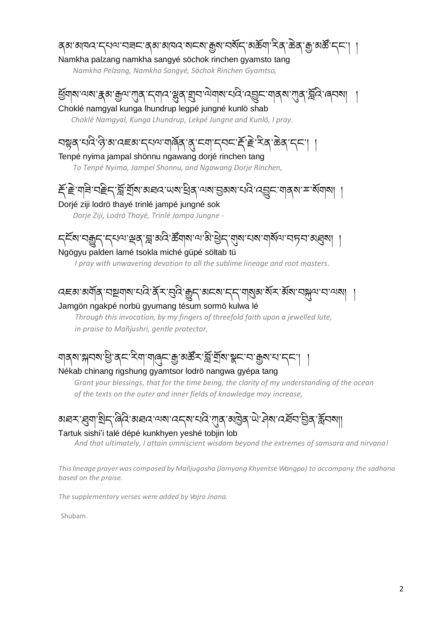### ནམ་མཁའ་དཔལ་བཟང་ནམ་མཁའ་སངས་རྒྱས་བསྟོད་མཆྟོག་རིན་ཆྗེན་རྒྱ་མཚོ་དང༌། ། Namkha palzang namkha sangyé söchok rinchen gyamsto tang

*Namkha Pelzang, Namkha Sangyé, Söchok Rinchen Gyamtso,*

ই্র্যান্ম'ন্মন্ম'ক্কুন্ম'স্য়্ক্''ম্'ন্স'স্কুর্'য়্রুম'ন্মন্ম'মেই'ন্হ্রেম'স্য়্ক্'স্ক্রিন্স'র্ন্সিন্স'র্ন্সিন Choklé namgyal kunga lhundrup legpé jungné kunlö shab

 *Choklé Namgyal, Kunga Lhundrup, Lekpé Jungne and Kunlö, I pray.*

# সম্লুৰ্'ঘন্ট'ৰা'নহুম'ন্মৰ'মাৰ্জ্ৰি'ৰ্'ম্বা'ন্মন'ৰ্ই'ই'ম্ব্'ঙৰ্'ন্ন' ।

Tenpé nyima jampal shönnu ngawang dorjé rinchen tang  *To Tenpé Nyima, Jampel Shonnu, and Ngawang Dorje Rinchen,*

### ্যর্শ্লুর্শ্রুষা অধ্যায়ের্জু বিশেষা প্রিয়ার্জা বিশেষ বিশেষ বিশেষ দিবী Dorjé ziji lodrö thayé trinlé jampé jungné sok

 *Dorje Ziji, Lodrö Thayé, Trinlé Jampa Jungne -*

ॸ्≧ॅब'নক্সুন'ন্নঅ'শ্ৰুৰ্`ন্ন'ৰ্অব ক্ষীৰাৰ'অ'ষ্টাৰ্'ন্মুৰ'নৰ'মাৰ্শিঅ'নচন'ৰ্য্ৰৰা

### Ngögyu palden lamé tsokla miché güpé söltab tü

 *I pray with unwavering devotion to all the sublime lineage and root masters.*

### ব্লেখ্যমাৰীৰ বিষ্ণাৰ বিষ্ণাৰ বিষ্ণাৰ বিষ্ণাৰ বিষ্ণাৰ বিষ্ণাৰ বিষ্ণাৰ বিষ্ণাৰ বিষ Jamgön ngakpé norbü gyumang tésum sormö kulwa lé

 *Through this invocation, by my fingers of threefold faith upon a jewelled lute, in praise to Mañjushri, gentle protector,*

# ঘাৰ্ম'গ্লানম'খ্ৰী'ৰ্ম'ইআ'আৰ্ন্ম' গ্ৰী'ৰ্ম'গ্লাই'মা'গ্লাম'ম'মা' ।

Nékab chinang rigshung gyamtsor lodrö nangwa gyépa tang

*Grant your blessings, that for the time being, the clarity of my understanding of the ocean of the texts on the outer and inner fields of knowledge may increase,* 

### अव्याञ्चैदाद्विदाञ्चितायुषादद्वार्थादेगुदाञ्चित्राणे निषादर्वे यञ्जुर्द्विजल्ला Tartuk sishi'i talé dépé kunkhyen yeshé tobjin lob

 *And that ultimately, I attain omniscient wisdom beyond the extremes of samsara and nirvana!*

*Thislineage prayer was composed by Mañjugosha (Jamyang Khyentse Wangpo) to accompany the sadhana based on the praise.*

*The supplementary verses were added by Vajra Jnana.*

Shubam.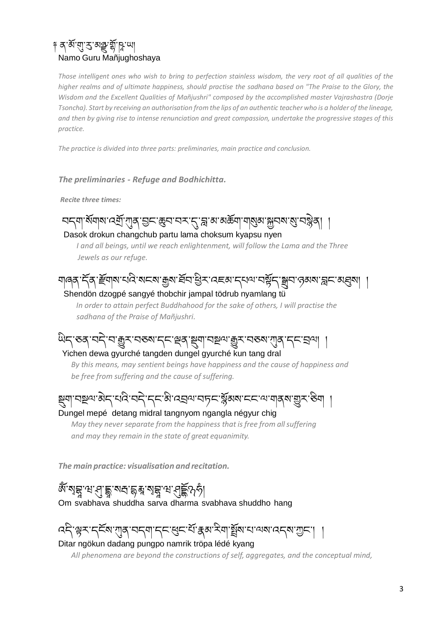### ༈ ན་མྟོ་གུ་རུ་མཉྫུ་གྟོ་ཥཱ་ཡ། Namo Guru Mañjughoshaya

*Those intelligent ones who wish to bring to perfection stainless wisdom, the very root of all qualities of the higher realms and of ultimate happiness, should practise the sadhana based on "The Praise to the Glory, the Wisdom and the Excellent Qualities of Mañjushri" composed by the accomplished master Vajrashastra (Dorje Tsoncha). Start by receiving an authorisation from the lips of an authentic teacher who is a holder of the lineage, and then by giving rise to intense renunciation and great compassion, undertake the progressive stages of this practice.*

*The practice is divided into three parts: preliminaries, main practice and conclusion.*

#### *The preliminaries - Refuge and Bodhichitta.*

*Recite three times:*

### ฺ বद्द्याॱয়ॅ्य]अ'त्यून्'गुद्र'ञुद्ध्य'वर्'तु'ङ्ख'अरुङ्ग्या याञ्जुब्राञ्चत्रपञ्जुद् Dasok drokun changchub partu lama choksum kyapsu nyen

 *I and all beings, until we reach enlightenment, will follow the Lama and the Three Jewels as our refuge.*

যাৰ্ব্ ঁবে স্ট্ৰিয়াম ঘাই মাহমা ক্ৰমা প্ৰবাস্ত্ৰী এছে অন্যৰ বিষয়া প্ৰবাস্ত্ৰী কৰি বিষয়া । Shendön dzogpé sangyé thobchir jampal tödrub nyamlang tü

*In order to attain perfect Buddhahood for the sake of others, I will practise the sadhana of the Praise of Mañjushri.*

# অব্দ্ৰুত্তৰ্ বৰ্ণ অন্ত্ৰীসমূহ বৰ্তমান কৰা বিষয়া বিৰোধীৰ সম্পৰ্ক কৰা বিৰোধীৰ সম্ভৱ সম্ভৱ কৰা

 Yichen dewa gyurché tangden dungel gyurché kun tang dral  *By this means, may sentient beings have happiness and the cause of happiness and be free from suffering and the cause of suffering.*

### ষ্ণ্যা বষ্ণ এৰা কাৰ্য বাৰ্ট বিভিন্ন স্থান কৰি বিভিন্ন স্থান কৰি বিভিন্ন স্থান কৰি বিভিন্ন স্থান কৰ Dungel mepé detang midral tangnyom ngangla négyur chig

 *May they never separate from the happiness that is free from all suffering and may they remain in the state of great equanimity.*

*The main practice: visualisation and recitation.*

<u>৵</u><br>ৠ৾৶য়৾ৼঢ়৻য়ৼঀ৾ৼয়৻য়ৼ৸ৼঀড়ৢ৻৸ Om svabhava shuddha sarva dharma svabhava shuddho hang

## ব্দ্বিশ্ব্দ্ব্দ্দ্দ্দ্দ্দ্ব্য ব্যান্দ্ৰ্য কৰা বিৰাজ্যৰ ব্যাপ্তা ব্যান্দ্ৰ

Ditar ngökun dadang pungpo namrik tröpa lédé kyang

 *All phenomena are beyond the constructions of self, aggregates, and the conceptual mind,*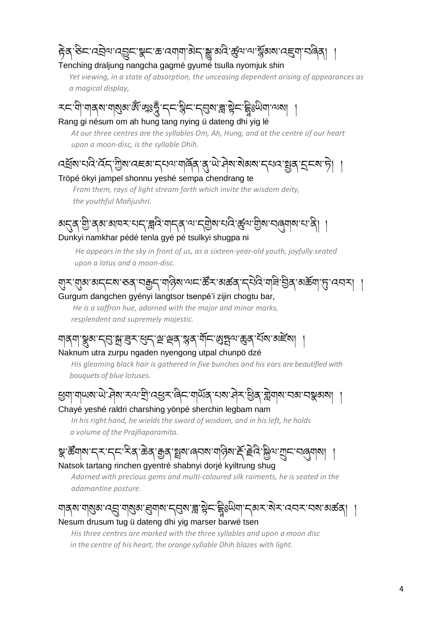### हेव्`रु८་འབྲིལ་འབྱུང་སྲུང་རྱ་འགག་མེད་སྱུ་མའི་རྱོལ་ལ་སྐྱོམས་འརྱག་བའིན Tenching draljung nangcha gagmé gyumé tsulla nyomjuk shin

*Yet viewing, in a state of absorption, the unceasing dependent arising of appearances as a magical display,*

### རང་གི་གནས་གསུམ་མོ་ལྲུଽङ्गुँ ་དང་སྐིང་དབུས་རྐུ་སྲེང་རྒྱིଽལིག་ལས། Rang gi nésum om ah hung tang nying ü dateng dhi yig lé

 *At our three centres are the syllables Om, Ah, Hung, and at the centre of our heart upon a moon-disc, is the syllable Dhih.* 

# ়ইৰামানী কৰি আৰু বিজ্ঞাপন কৰি বিজ্ঞাপন কৰি বিজ্ঞাপন কৰি বিজ্ঞাপন কৰি বিজ্ঞাপন কৰি বিজ্ঞাপন কৰি বিজ্ঞাপন কৰি বি

Tröpé ökyi jampel shonnu yeshé sempa chendrang te

 *From them, rays of light stream forth which invite the wisdom deity, the youthful Mañjushri.*

### अह्ब् শ্ল্ৰী ৰূপ আৰম্ভ নাৰ বিৰোধ পৰি বিৰোধ পৰি বিৰোধ পৰি। Dunkyi namkhar pédé tenla gyé pé tsulkyi shugpa ni

 *He appears in the sky in front of us, as a sixteen-year-old youth, joyfully seated upon a lotus and a moon-disc.* 

### གུར་གུམ་མདངས་ཅན་བརྒྱད་གཉིས་ལང་ཚོར་མཚན་དཔྗེའི་གཟི་བྱིན་མཆྟོག་ཏུ་འབར། ། Gurgum dangchen gyényi langtsor tsenpé'i zijin chogtu bar,

 *He is a saffron hue, adorned with the major and minor marks, resplendent and supremely majestic.*

# ্বাপ্ৰান্ত্ৰ, শ্লুব্ৰাজুৰ বিষা মাইম

### Naknum utra zurpu ngaden nyengong utpal chunpö dzé

 *His gleaming black hair is gathered in five bunches and his ears are beautified with bouquets of blue lotuses.*

# ्थुवा वाणरा णे नेत्रा ऱ्या घुं द्धुरू दिन वार्षेत्र रात्रा नेर ध्रुत सुवात्रा रात्रा राष्ट्र वात्रा

### Chayé yeshé raldri charshing yönpé sherchin legbam nam

 *In his right hand, he wields the sword of wisdom, and in his left, he holds a volume of the Prajñaparamita.*

ञ्जु'र्ळेया्रा'द्र्X'द्र्प्र'सेत्'ळेव्'क्रुत्'ञ्जुब्'याञ्चलेश'र्म्'ह्र्द्रि'अुथ'गुर्प्राय्ल्याञ्। Natsok tartang rinchen gyentré shabnyi dorjé kyiltrung shug

 *Adorned with precious gems and multi-coloured silk raiments, he is seated in the adamantine posture.*

## ঘাব্ৰম'মা্ম্ৰুম'ৰ্ম্মু'মা্ম্ৰুম', ব্ৰমাৰ', ব্ৰম'ৰ্দ্ল'ষ্ট্ৰন' ইঃউমিম', ব্ৰম-'ৰ্ম-'ৰেন্ম' মৰ্ক্ত ব

### Nesum drusum tug ü dateng dhi yig marser barwé tsen

 *His three centres are marked with the three syllables and upon a moon disc in the centre of his heart, the orange syllable Dhih blazes with light.*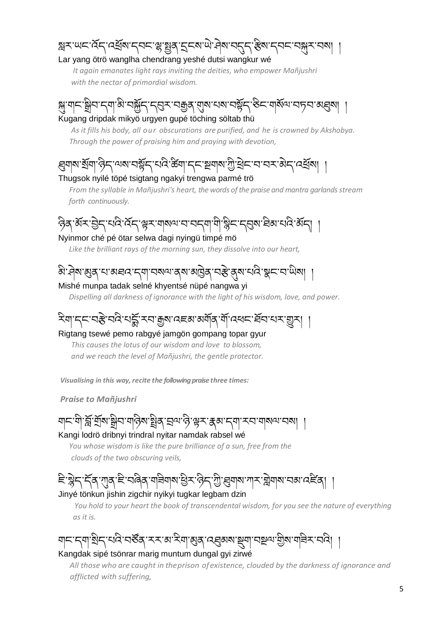### স্ক্ৰম 'ঋম'প্ৰেশ্ৰুষ্ম' নুম্না ৰাজ্যৰ বুদ্ধা আৰু বিশ্বাস বিশ্বাস কৰা কৰিব প্ৰতি কৰি তেওঁ কৰি তেওঁ কৰি তেওঁ কৰি Lar yang ötrö wanglha chendrang yeshé dutsi wangkur wé

 *It again emanates light rays inviting the deities, who empower Mañjushri with the nectar of primordial wisdom.*

ৃষ্ণ'য|ন'ষ্ণ্ৰীন'ন্মা'ঝঁ'নৰ্স্ক্ৰীন্'ন্ম্ভ্ৰুস্'ন্ম্ৰজুৰ্'ম়া্ম'ন্মম'নষ্ট্ৰন্'ষ্টন'যাৰ্ম্মঅ'ন্সন'ঝ্ঘ্ৰুম| । Kugang dripdak mikyö urgyen gupé töching söltab thü

 *As it fills his body, all our obscurations are purified, and he is crowned by Akshobya. Through the power of praising him and praying with devotion,*

### ্ল্মনাথ ষ্ট্ৰনাণ্ড্ৰীন অৰ্থা নম্ভ্ৰীন কৰি বিভিন্ন কৰি বিভিন্ন কৰি বিভিন্ন কৰি বিভিন্ন কৰি বিভিন্ন কৰি বিভিন্ন Thugsok nyilé töpé tsigtang ngakyi trengwa parmé trö

 *From the syllable in Mañjushri's heart, the words of the praise and mantra garlandsstream forth continuously.*

ཉིན་མྟོར་བྱྗེད་པའི་འྟོད་ལྟར་གསལ་བ་བདག་གི་སིང་དབུས་ཐིམ་པའི་མྟོད། ། Nyinmor ché pé ötar selwa dagi nyingü timpé mö

*Like the brilliant rays of the morning sun, they dissolve into our heart,*

# ঌ৾ॱদিষ্য শ্ৰুষ্ শাস্ত্ৰৰ শোৰৰ অৱিষ্য মন্ত্ৰী শ্ৰুষ্ট বিষ্য শ্ৰুষ্ট শ্ৰুষ্ট শ্ৰুষ্ট শ্ৰুষ্ট শ

#### Mishé munpa tadak selné khyentsé nüpé nangwa yi

*Dispelling all darkness of ignorance with the light of his wisdom, love, and power.*

## ২বাদ্দের্ষ্ট নন্দর্দ্ম হাম্কুমান্দেরার্মান্ত্র শীদ্রবাদ্য বিদ্যালয় ।

#### Rigtang tsewé pemo rabgyé jamgön gompang topar gyur

 *This causes the lotus of our wisdom and love to blossom, and we reach the level of Mañjushri, the gentle protector.*

*Visualising in this way, recite the following praise three times:* 

*Praise to Mañjushri*

ার্ক্লার্শ্রাম্মান্সার্জ্যান্থ্রাম্বার্জার্ম্বার্ম্ব্রম্বার্ম্ব Kangi lodrö dribnyi trindral nyitar namdak rabsel wé

*You whose wisdom is like the pure brilliance of a sun, free from the*

 *clouds of the two obscuring veils,*

ৄিষ্ণৱ কৰে পৰি বিৰোগৰ বিৰোগ সামৰ বিৰোগ সামৰ সমূহ পৰি বিৰোগ সমূহ পৰি বিৰোগ সমূহ পৰি বিৰোগ সমূহ পৰি বিৰোগ সমূহ প Jinyé tönkun jishin zigchir nyikyi tugkar legbam dzin

 *You hold to your heart the book of transcendental wisdom, for you see the nature of everything as it is.*

ঘানা নৃণা শ্ৰীনা নাৰে নাৰী সম্পৰ্কে সম্পৰ্কে বিৰুদ্ধে এই বিৰুদ্ধে দিবলৈ বিৰুদ্ধে নাৰী সম্পৰ্কে আৰু স Kangdak sipé tsönrar marig muntum dungal gyi zirwé

 *All those who are caught in theprison ofexistence, clouded by the darkness of ignorance and afflicted with suffering,*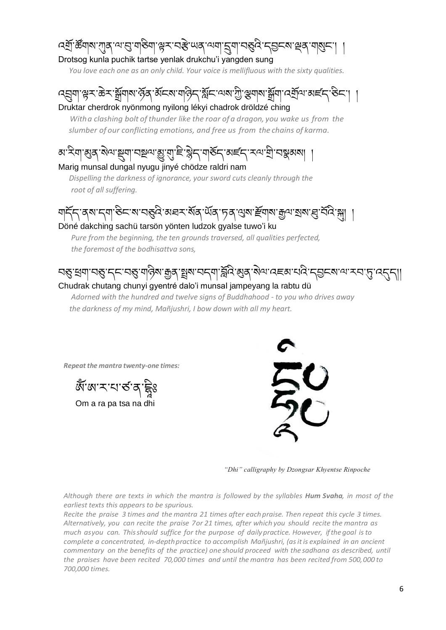বর্ষ্রা স্ক্রঁবাম'গ্রাব'ন্ম'ন্র'বা'শ্লুম'নস্ত "অব'ন্মবা'নুবা'নস্তুন 'নৃষ্ণমুম'নামুম Drotsog kunla puchik tartse yenlak drukchu'i yangden sung

*You love each one as an only child. Your voice is mellifluous with the sixty qualities.*

### ঀয়য়ঀৗৢৢড়ৼৗড়ৼৗয়ৢয়৸ৼঀৗয়৾ৼয়৸ড়ঀৼৗৢ৸ৼঀয়৸ড়৸ৼঀৗৢ৸ৼঀৼঀৼঀৼঀৼঀ৻ৼঀৼ৻ৼঀৼ৻ৼ৻ড়ৼ Druktar cherdrok nyönmong nyilong lékyi chadrok dröldzé ching

 *Witha clashing bolt of thunder like the roar of a dragon, you wake us from the slumber of our conflicting emotions, and free us from the chains of karma.*

<u>য়৾ৼয়ঢ়য়৻য়ৢ৻৸ঢ়ড়য়ৗ৸ড়৸ৼয়ৣ৸ঢ়ঢ়৻৸ড়৸ঢ়৻৸</u>৸ড়৸ৼয়৾ৼ৸ৼঀৼয়৸ৼ৸ৼয়ৼয়ৼয়৻৸ Marig munsal dungal nyugu jinyé chödze raldri nam

*Dispelling the darkness of ignorance, your sword cuts cleanly through the root of all suffering.*

য়ার্দ্র্সা ন্যান্ডিন'ম'ন্ড্র্নি'অন্নম'র্মর্'ড্র্ম'র্মুখ'র্মুখ'য়ুম'য়ুম'ন্থ্র'ন্সি

Döné dakching sachü tarsön yönten ludzok gyalse tuwo'i ku

 *Pure from the beginning, the ten grounds traversed, all qualities perfected, the foremost of the bodhisattva sons,*

## ་ঘহ্ড্যুদ্মান্ত্রু অদ্গিষ্য ক্রুব্রু শ্লুষ্য ঘন্মা স্ল্রিবিংগুৰ্ ষ্টিমান্ত হেমা ঘাই দ্রোজ্য ক্ষেত্র দ্রান্ত্র

#### Chudrak chutang chunyi gyentré dalo'i munsal jampeyang la rabtu dü

 *Adorned with the hundred and twelve signs of Buddhahood - to you who drives away the darkness of my mind, Mañjushri, I bow down with all my heart.*

*Repeat the mantra twenty-one times:*



*"Dhi" calligraphy by Dzongsar Khyentse Rinpoche*

*Although there are texts in which the mantra is followed by the syllables Hum Svaha, in most of the earliest texts this appears to be spurious.*

*Recite the praise 3 times and the mantra 21 times after eachpraise. Then repeat this cycle 3 times. Alternatively, you can recite the praise 7or 21 times, after which you should recite the mantra as much asyou can. Thisshould suffice for the purpose of dailypractice. However, ifthegoal isto complete a concentrated, in-depthpractice to accomplish Mañjushri, (asitis explained in an ancient commentary on the benefits of the practice) one should proceed with the sadhana as described, until the praises have been recited 70,000 times and until the mantra has been recited from 500,000 to 700,000 times.*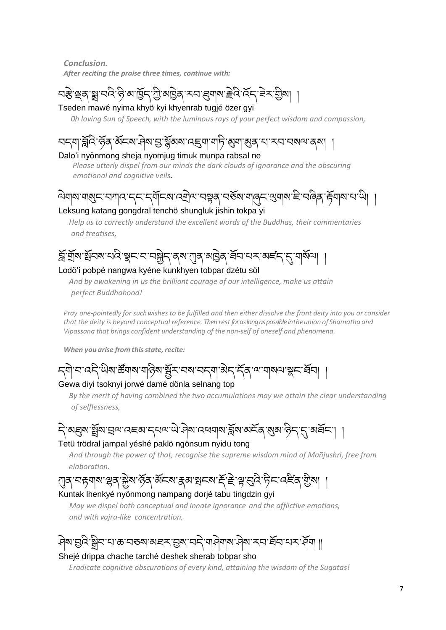*Conclusion. After reciting the praise three times, continue with:*

### ব্ধ শ্ৰুৰ ষ্ণু বৰ্ব দ্বৈ মাৰ্ট্টিব্'গ্ৰী মাট্টৰ্ কৰা ব্ৰিমাৰ দ্বীৰ কৰি বি Tseden mawé nyima khyö kyi khyenrab tugjé özer gyi

*0h loving Sun of Speech, with the luminous rays of your perfect wisdom and compassion,*

# `ৰ্ব্ল্বি`ৰ্দ্বিক্`ৰ্ষ্কৰ্মান্ত্ৰা ষ্ট্ৰৰ্মিক্সমান্ত্ৰ্ন্ন্যান্ট্ৰ্'ৰ্ম্মান্ত্ৰ্ন্ত্ৰ'মা মনানমণ্য কথা

#### Dalo'i nyönmong sheja nyomjug timuk munpa rabsal ne

 *Please utterly dispel from our minds the dark clouds of ignorance and the obscuring emotional and cognitive veils*.

### <u>᠗য়য়য়য়ৣয়ৼৼয়য়ড়৻ৼৼৼৼড়ঢ়ড়৻ড়৸ৼ৸ড়ড়৸ৼ৸ড়ড়৸ড়৸ড়৸ড়৸ড়৸ৼ৸ড়৸</u> Leksung katang gongdral tenchö shungluk jishin tokpa yi

*Help us to correctly understand the excellent words of the Buddhas, their commentaries and treatises,*

### བྟོ་གྲྟོས་སྟོབས་པའི་སྣང་བ་བསྐྱྗེད་ནས་ཀུན་མཁྗེན་ཐྟོབ་པར་མཛད་དུ་གསྟོལ། ། Lodö'i pobpé nangwa kyéne kunkhyen tobpar dzétu söl

*And by awakening in us the brilliant courage of our intelligence, make us attain perfect Buddhahood!*

*Pray one-pointedly for suchwishes to be fulfilled and then either dissolve the front deity into you or consider that the deity is beyond conceptual reference. Then restfor as long aspossible intheunion of Shamatha and Vipassana that brings confident understanding of the non-self of oneself and phenomena.*

*When* you arise from this state, recite:

८बो'च'वदे'ਘੋ਼ूषा क्रॅंगल'गढ़ेल' चूँद'चल'चट्मा'बेट्'र्ट्स् 'ਘ'गलथ'ञ्जूट'र्ट्सच Gewa diyi tsoknyi jorwé damé dönla selnang top

*By the merit of having combined the two accumulations may we attain the clear understanding of selflessness,*

ন্দ্রিষার্শ্রুষা দ্রুমা বেছনা নৃত্যায় দ্রীষা বেধমাষার্দ্ধিষা মর্ত্রেরা ব্রিনান্দ্রা মর্ত্রনা

#### Tetü trödral jampal yéshé paklö ngönsum nyidu tong

*And through the power of that, recognise the supreme wisdom mind of Mañjushri, free from elaboration.*

# ্ग्রब्'নङ्गबाष'भ्लब्'क्लेष'र्लेब्'ॲटब'रूक'श्चन्त्रा'र्म्'हे'भ्लु'तुदे'र्मृन्''दर्दिब्'ग्रेब्।

#### Kuntak lhenkyé nyönmong nampang dorjé tabu tingdzin gyi

 *May we dispel both conceptual and innate ignorance and the afflictive emotions, and with vajra-like concentration,*

# ཤྗེས་བྱའི་སིབ་པ་ཆ་བཅས་མཐར་བྱས་བདྗེ་གཤྗེགས་ཤྗེས་རབ་ཐྟོབ་པར་ཤྟོག །།

#### Shejé drippa chache tarché deshek sherab tobpar sho

*Eradicate cognitive obscurations of every kind, attaining the wisdom of the Sugatas!*